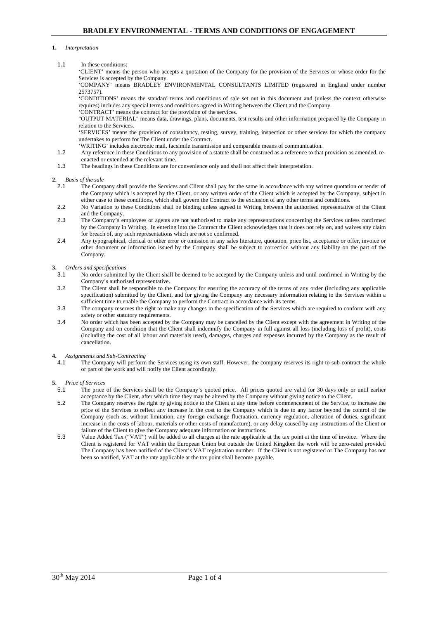#### **1.** *Interpretation*

1.1 In these conditions:

'CLIENT' means the person who accepts a quotation of the Company for the provision of the Services or whose order for the Services is accepted by the Company.

'COMPANY' means BRADLEY ENVIRONMENTAL CONSULTANTS LIMITED (registered in England under number 2573757).

'CONDITIONS' means the standard terms and conditions of sale set out in this document and (unless the context otherwise requires) includes any special terms and conditions agreed in Writing between the Client and the Company.

'CONTRACT' means the contract for the provision of the services.

"OUTPUT MATERIAL" means data, drawings, plans, documents, test results and other information prepared by the Company in relation to the Services.

'SERVICES' means the provision of consultancy, testing, survey, training, inspection or other services for which the company undertakes to perform for The Client under the Contract.

'WRITING' includes electronic mail, facsimile transmission and comparable means of communication.

- 1.2 Any reference in these Conditions to any provision of a statute shall be construed as a reference to that provision as amended, reenacted or extended at the relevant time.
- 1.3 The headings in these Conditions are for convenience only and shall not affect their interpretation.

# **2.** *Basis of the sale*

- 2.1 The Company shall provide the Services and Client shall pay for the same in accordance with any written quotation or tender of the Company which is accepted by the Client, or any written order of the Client which is accepted by the Company, subject in either case to these conditions, which shall govern the Contract to the exclusion of any other terms and conditions.
- 2.2 No Variation to these Conditions shall be binding unless agreed in Writing between the authorised representative of the Client and the Company.
- 2.3 The Company's employees or agents are not authorised to make any representations concerning the Services unless confirmed by the Company in Writing. In entering into the Contract the Client acknowledges that it does not rely on, and waives any claim for breach of, any such representations which are not so confirmed.
- 2.4 Any typographical, clerical or other error or omission in any sales literature, quotation, price list, acceptance or offer, invoice or other document or information issued by the Company shall be subject to correction without any liability on the part of the Company.

#### **3.** *Orders and specifications*

- 3.1 No order submitted by the Client shall be deemed to be accepted by the Company unless and until confirmed in Writing by the Company's authorised representative.
- 3.2 The Client shall be responsible to the Company for ensuring the accuracy of the terms of any order (including any applicable specification) submitted by the Client, and for giving the Company any necessary information relating to the Services within a sufficient time to enable the Company to perform the Contract in accordance with its terms.
- 3.3 The company reserves the right to make any changes in the specification of the Services which are required to conform with any safety or other statutory requirements.
- 3.4 No order which has been accepted by the Company may be cancelled by the Client except with the agreement in Writing of the Company and on condition that the Client shall indemnify the Company in full against all loss (including loss of profit), costs (including the cost of all labour and materials used), damages, charges and expenses incurred by the Company as the result of cancellation.

# **4.** *Assignments and Sub-Contracting*

4.1 The Company will perform the Services using its own staff. However, the company reserves its right to sub-contract the whole or part of the work and will notify the Client accordingly.

#### **5.** *Price of Services*

- 5.1 The price of the Services shall be the Company's quoted price. All prices quoted are valid for 30 days only or until earlier acceptance by the Client, after which time they may be altered by the Company without giving notice to the Client.
- 5.2 The Company reserves the right by giving notice to the Client at any time before commencement of the Service, to increase the price of the Services to reflect any increase in the cost to the Company which is due to any factor beyond the control of the Company (such as, without limitation, any foreign exchange fluctuation, currency regulation, alteration of duties, significant increase in the costs of labour, materials or other costs of manufacture), or any delay caused by any instructions of the Client or failure of the Client to give the Company adequate information or instructions.
- 5.3 Value Added Tax ("VAT") will be added to all charges at the rate applicable at the tax point at the time of invoice. Where the Client is registered for VAT within the European Union but outside the United Kingdom the work will be zero-rated provided The Company has been notified of the Client's VAT registration number. If the Client is not registered or The Company has not been so notified, VAT at the rate applicable at the tax point shall become payable.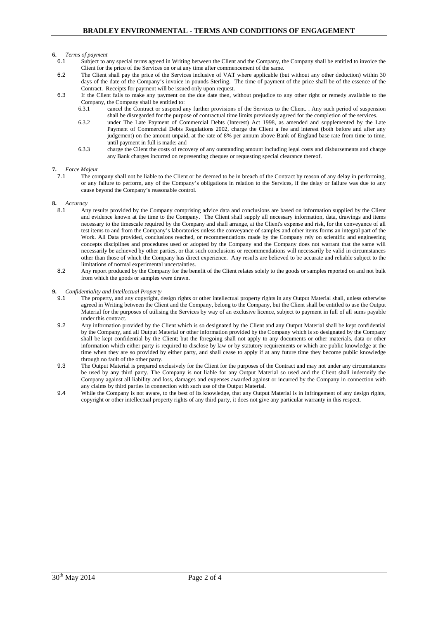# **6.** *Terms of payment*

- 6.1 Subject to any special terms agreed in Writing between the Client and the Company, the Company shall be entitled to invoice the Client for the price of the Services on or at any time after commencement of the same.
- 6.2 The Client shall pay the price of the Services inclusive of VAT where applicable (but without any other deduction) within 30 days of the date of the Company's invoice in pounds Sterling. The time of payment of the price shall be of the essence of the Contract. Receipts for payment will be issued only upon request.
- 6.3 If the Client fails to make any payment on the due date then, without prejudice to any other right or remedy available to the Company, the Company shall be entitled to:
	- 6.3.1 cancel the Contract or suspend any further provisions of the Services to the Client. . Any such period of suspension shall be disregarded for the purpose of contractual time limits previously agreed for the completion of the services.
	- 6.3.2 under The Late Payment of Commercial Debts (Interest) Act 1998, as amended and supplemented by the Late Payment of Commercial Debts Regulations 2002, charge the Client a fee and interest (both before and after any judgement) on the amount unpaid, at the rate of 8% per annum above Bank of England base rate from time to time, until payment in full is made; and
	- 6.3.3 charge the Client the costs of recovery of any outstanding amount including legal costs and disbursements and charge any Bank charges incurred on representing cheques or requesting special clearance thereof.

#### **7.** *Force Majeur*

7.1 The company shall not be liable to the Client or be deemed to be in breach of the Contract by reason of any delay in performing, or any failure to perform, any of the Company's obligations in relation to the Services, if the delay or failure was due to any cause beyond the Company's reasonable control.

#### **8.** *Accuracy*

- 8.1 Any results provided by the Company comprising advice data and conclusions are based on information supplied by the Client and evidence known at the time to the Company. The Client shall supply all necessary information, data, drawings and items necessary to the timescale required by the Company and shall arrange, at the Client's expense and risk, for the conveyance of all test items to and from the Company's laboratories unless the conveyance of samples and other items forms an integral part of the Work. All Data provided, conclusions reached, or recommendations made by the Company rely on scientific and engineering concepts disciplines and procedures used or adopted by the Company and the Company does not warrant that the same will necessarily be achieved by other parties, or that such conclusions or recommendations will necessarily be valid in circumstances other than those of which the Company has direct experience. Any results are believed to be accurate and reliable subject to the limitations of normal experimental uncertainties.
- 8.2 Any report produced by the Company for the benefit of the Client relates solely to the goods or samples reported on and not bulk from which the goods or samples were drawn.

#### **9.** *Confidentiality and Intellectual Property*

- 9.1 The property, and any copyright, design rights or other intellectual property rights in any Output Material shall, unless otherwise agreed in Writing between the Client and the Company, belong to the Company, but the Client shall be entitled to use the Output Material for the purposes of utilising the Services by way of an exclusive licence, subject to payment in full of all sums payable under this contract.
- 9.2 Any information provided by the Client which is so designated by the Client and any Output Material shall be kept confidential by the Company, and all Output Material or other information provided by the Company which is so designated by the Company shall be kept confidential by the Client; but the foregoing shall not apply to any documents or other materials, data or other information which either party is required to disclose by law or by statutory requirements or which are public knowledge at the time when they are so provided by either party, and shall cease to apply if at any future time they become public knowledge through no fault of the other party.
- 9.3 The Output Material is prepared exclusively for the Client for the purposes of the Contract and may not under any circumstances be used by any third party. The Company is not liable for any Output Material so used and the Client shall indemnify the Company against all liability and loss, damages and expenses awarded against or incurred by the Company in connection with any claims by third parties in connection with such use of the Output Material.
- 9.4 While the Company is not aware, to the best of its knowledge, that any Output Material is in infringement of any design rights, copyright or other intellectual property rights of any third party, it does not give any particular warranty in this respect.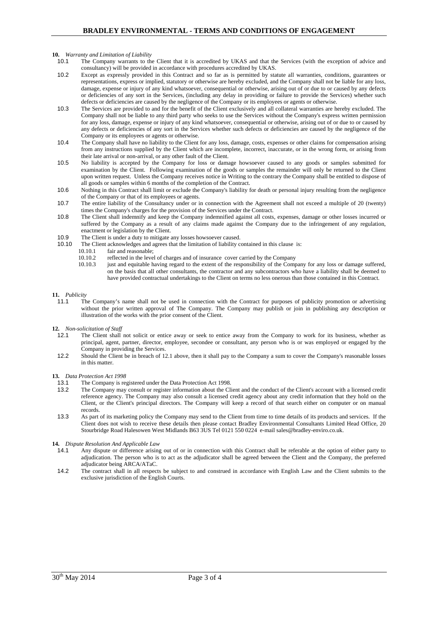#### **10.** *Warranty and Limitation of Liability*

- 10.1 The Company warrants to the Client that it is accredited by UKAS and that the Services (with the exception of advice and consultancy) will be provided in accordance with procedures accredited by UKAS.
- 10.2 Except as expressly provided in this Contract and so far as is permitted by statute all warranties, conditions, guarantees or representations, express or implied, statutory or otherwise are hereby excluded, and the Company shall not be liable for any loss, damage, expense or injury of any kind whatsoever, consequential or otherwise, arising out of or due to or caused by any defects or deficiencies of any sort in the Services, (including any delay in providing or failure to provide the Services) whether such defects or deficiencies are caused by the negligence of the Company or its employees or agents or otherwise.
- 10.3 The Services are provided to and for the benefit of the Client exclusively and all collateral warranties are hereby excluded. The Company shall not be liable to any third party who seeks to use the Services without the Company's express written permission for any loss, damage, expense or injury of any kind whatsoever, consequential or otherwise, arising out of or due to or caused by any defects or deficiencies of any sort in the Services whether such defects or deficiencies are caused by the negligence of the Company or its employees or agents or otherwise.
- 10.4 The Company shall have no liability to the Client for any loss, damage, costs, expenses or other claims for compensation arising from any instructions supplied by the Client which are incomplete, incorrect, inaccurate, or in the wrong form, or arising from their late arrival or non-arrival, or any other fault of the Client.
- 10.5 No liability is accepted by the Company for loss or damage howsoever caused to any goods or samples submitted for examination by the Client. Following examination of the goods or samples the remainder will only be returned to the Client upon written request. Unless the Company receives notice in Writing to the contrary the Company shall be entitled to dispose of all goods or samples within 6 months of the completion of the Contract.
- 10.6 Nothing in this Contract shall limit or exclude the Company's liability for death or personal injury resulting from the negligence of the Company or that of its employees or agents.
- 10.7 The entire liability of the Consultancy under or in connection with the Agreement shall not exceed a multiple of 20 (twenty) times the Company's charges for the provision of the Services under the Contract.
- 10.8 The Client shall indemnify and keep the Company indemnified against all costs, expenses, damage or other losses incurred or suffered by the Company as a result of any claims made against the Company due to the infringement of any regulation, enactment or legislation by the Client.
- 10.9 The Client is under a duty to mitigate any losses howsoever caused.<br>10.10 The Client acknowledges and agrees that the limitation of liability c
- The Client acknowledges and agrees that the limitation of liability contained in this clause is:
	- 10.10.1 fair and reasonable;<br>10.10.2 reflected in the leve
		- 10.10.2 reflected in the level of charges and of insurance cover carried by the Company<br>10.10.3 inst and equitable having regard to the extent of the responsibility of the Comp
		- iust and equitable having regard to the extent of the responsibility of the Company for any loss or damage suffered, on the basis that all other consultants, the contractor and any subcontractors who have a liability shall be deemed to have provided contractual undertakings to the Client on terms no less onerous than those contained in this Contract.

# **11.** *Publicity*

The Company's name shall not be used in connection with the Contract for purposes of publicity promotion or advertising without the prior written approval of The Company. The Company may publish or join in publishing any description or illustration of the works with the prior consent of the Client.

**12.** *Non-solicitation of Staff*

- The Client shall not solicit or entice away or seek to entice away from the Company to work for its business, whether as principal, agent, partner, director, employee, secondee or consultant, any person who is or was employed or engaged by the Company in providing the Services.
- 12.2 Should the Client be in breach of 12.1 above, then it shall pay to the Company a sum to cover the Company's reasonable losses in this matter.

**13.** *Data Protection Act 1998*

- 13.1 The Company is registered under the Data Protection Act 1998.<br>13.2 The Company may consult or register information about the Cl
- 13.2 The Company may consult or register information about the Client and the conduct of the Client's account with a licensed credit reference agency. The Company may also consult a licensed credit agency about any credit information that they hold on the Client, or the Client's principal directors. The Company will keep a record of that search either on computer or on manual records.
- 13.3 As part of its marketing policy the Company may send to the Client from time to time details of its products and services. If the Client does not wish to receive these details then please contact Bradley Environmental Consultants Limited Head Office, 20 Stourbridge Road Halesowen West Midlands B63 3US Tel 0121 550 0224 e-mail sales@bradley-enviro.co.uk.

#### **14.** *Dispute Resolution And Applicable Law*

- 14.1 Any dispute or difference arising out of or in connection with this Contract shall be referable at the option of either party to adjudication. The person who is to act as the adjudicator shall be agreed between the Client and the Company, the preferred adjudicator being ARCA/ATaC.
- 14.2 The contract shall in all respects be subject to and construed in accordance with English Law and the Client submits to the exclusive jurisdiction of the English Courts.